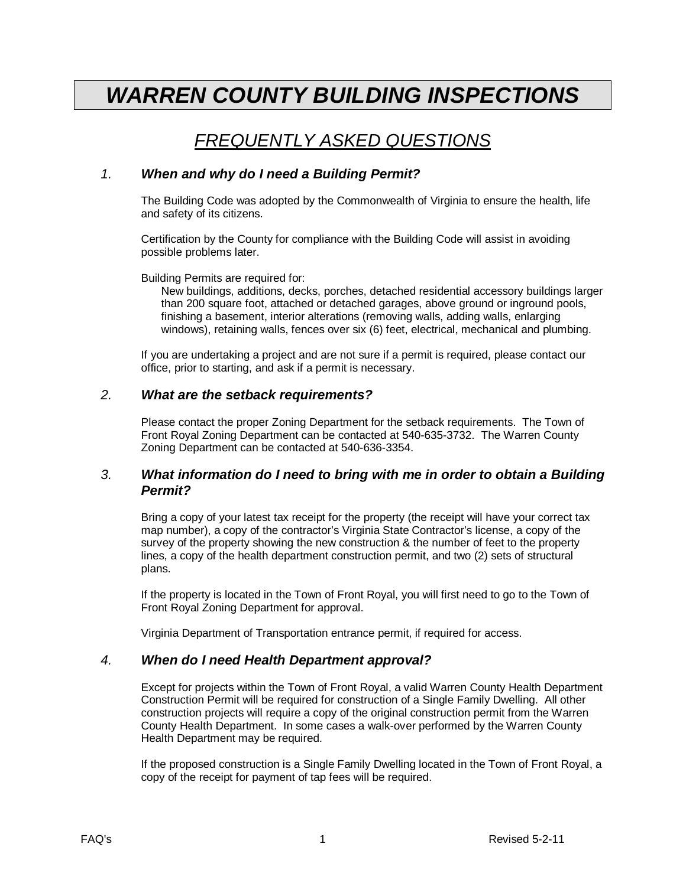# *WARREN COUNTY BUILDING INSPECTIONS*

# *FREQUENTLY ASKED QUESTIONS*

#### *1. When and why do I need a Building Permit?*

The Building Code was adopted by the Commonwealth of Virginia to ensure the health, life and safety of its citizens.

Certification by the County for compliance with the Building Code will assist in avoiding possible problems later.

Building Permits are required for:

New buildings, additions, decks, porches, detached residential accessory buildings larger than 200 square foot, attached or detached garages, above ground or inground pools, finishing a basement, interior alterations (removing walls, adding walls, enlarging windows), retaining walls, fences over six (6) feet, electrical, mechanical and plumbing.

If you are undertaking a project and are not sure if a permit is required, please contact our office, prior to starting, and ask if a permit is necessary.

#### *2. What are the setback requirements?*

Please contact the proper Zoning Department for the setback requirements. The Town of Front Royal Zoning Department can be contacted at 540-635-3732. The Warren County Zoning Department can be contacted at 540-636-3354.

#### *3. What information do I need to bring with me in order to obtain a Building Permit?*

Bring a copy of your latest tax receipt for the property (the receipt will have your correct tax map number), a copy of the contractor's Virginia State Contractor's license, a copy of the survey of the property showing the new construction & the number of feet to the property lines, a copy of the health department construction permit, and two (2) sets of structural plans.

If the property is located in the Town of Front Royal, you will first need to go to the Town of Front Royal Zoning Department for approval.

Virginia Department of Transportation entrance permit, if required for access.

#### *4. When do I need Health Department approval?*

Except for projects within the Town of Front Royal, a valid Warren County Health Department Construction Permit will be required for construction of a Single Family Dwelling. All other construction projects will require a copy of the original construction permit from the Warren County Health Department. In some cases a walk-over performed by the Warren County Health Department may be required.

If the proposed construction is a Single Family Dwelling located in the Town of Front Royal, a copy of the receipt for payment of tap fees will be required.